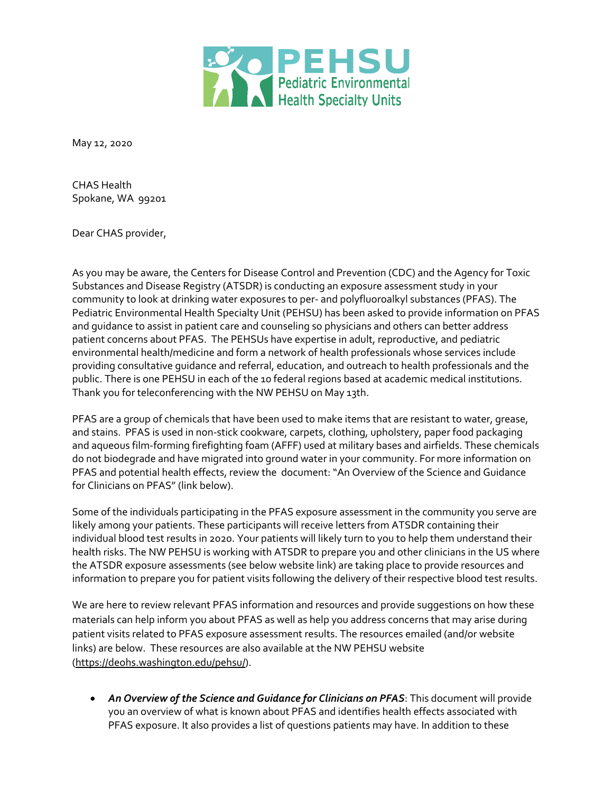

May 12, 2020

CHAS Health Spokane, WA 99201

Dear CHAS provider,

As you may be aware, the Centers for Disease Control and Prevention (CDC) and the Agency for Toxic Substances and Disease Registry (ATSDR) is conducting an exposure assessment study in your community to look at drinking water exposures to per- and polyfluoroalkyl substances (PFAS). The Pediatric Environmental Health Specialty Unit (PEHSU) has been asked to provide information on PFAS and guidance to assist in patient care and counseling so physicians and others can better address patient concerns about PFAS. The PEHSUs have expertise in adult, reproductive, and pediatric environmental health/medicine and form a network of health professionals whose services include providing consultative guidance and referral, education, and outreach to health professionals and the public. There is one PEHSU in each of the 10 federal regions based at academic medical institutions. Thank you for teleconferencing with the NW PEHSU on May 13th.

PFAS are a group of chemicals that have been used to make items that are resistant to water, grease, and stains. PFAS is used in non-stick cookware, carpets, clothing, upholstery, paper food packaging and aqueous film-forming firefighting foam (AFFF) used at military bases and airfields. These chemicals do not biodegrade and have migrated into ground water in your community. For more information on PFAS and potential health effects, review the document: "An Overview of the Science and Guidance for Clinicians on PFAS" (link below).

Some of the individuals participating in the PFAS exposure assessment in the community you serve are likely among your patients. These participants will receive letters from ATSDR containing their individual blood test results in 2020. Your patients will likely turn to you to help them understand their health risks. The NW PEHSU is working with ATSDR to prepare you and other clinicians in the US where the ATSDR exposure assessments (see below website link) are taking place to provide resources and information to prepare you for patient visits following the delivery of their respective blood test results.

We are here to review relevant PFAS information and resources and provide suggestions on how these materials can help inform you about PFAS as well as help you address concerns that may arise during patient visits related to PFAS exposure assessment results. The resources emailed (and/or website links) are below. These resources are also available at the NW PEHSU website (https://deohs.washington.edu/pehsu/).

• *An Overview of the Science and Guidance for Clinicians on PFAS*: This document will provide you an overview of what is known about PFAS and identifies health effects associated with PFAS exposure. It also provides a list of questions patients may have. In addition to these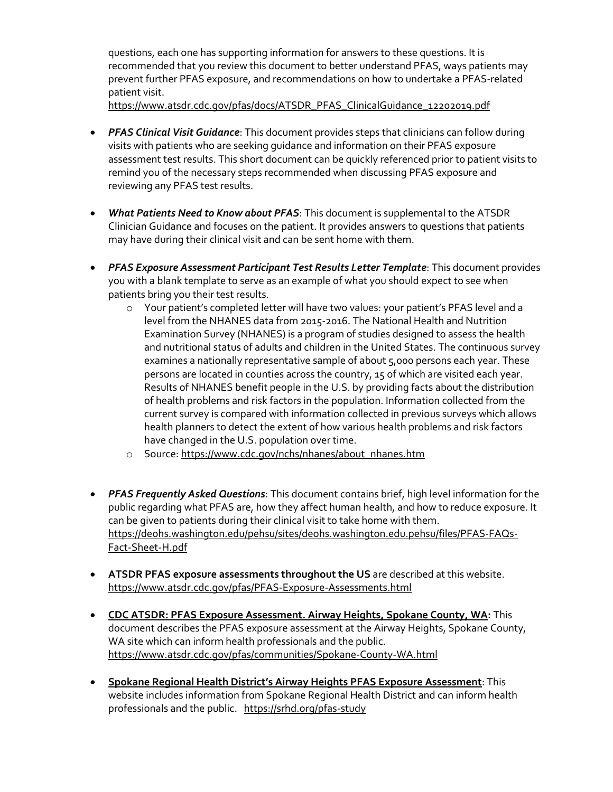questions, each one has supporting information for answers to these questions. It is recommended that you review this document to better understand PFAS, ways patients may prevent further PFAS exposure, and recommendations on how to undertake a PFAS-related patient visit.

https://www.atsdr.cdc.gov/pfas/docs/ATSDR\_PFAS\_ClinicalGuidance\_12202019.pdf

- *PFAS Clinical Visit Guidance*: This document provides steps that clinicians can follow during visits with patients who are seeking guidance and information on their PFAS exposure assessment test results. This short document can be quickly referenced prior to patient visits to remind you of the necessary steps recommended when discussing PFAS exposure and reviewing any PFAS test results.
- *What Patients Need to Know about PFAS*: This document is supplemental to the ATSDR Clinician Guidance and focuses on the patient. It provides answers to questions that patients may have during their clinical visit and can be sent home with them.
- **PFAS Exposure Assessment Participant Test Results Letter Template:** This document provides you with a blank template to serve as an example of what you should expect to see when patients bring you their test results.
	- o Your patient's completed letter will have two values: your patient's PFAS level and a level from the NHANES data from 2015-2016. The National Health and Nutrition Examination Survey (NHANES) is a program of studies designed to assess the health and nutritional status of adults and children in the United States. The continuous survey examines a nationally representative sample of about 5,000 persons each year. These persons are located in counties across the country, 15 of which are visited each year. Results of NHANES benefit people in the U.S. by providing facts about the distribution of health problems and risk factors in the population. Information collected from the current survey is compared with information collected in previous surveys which allows health planners to detect the extent of how various health problems and risk factors have changed in the U.S. population over time.
	- o Source: https://www.cdc.gov/nchs/nhanes/about\_nhanes.htm
- *PFAS Frequently Asked Questions*: This document contains brief, high level information for the public regarding what PFAS are, how they affect human health, and how to reduce exposure. It can be given to patients during their clinical visit to take home with them. https://deohs.washington.edu/pehsu/sites/deohs.washington.edu.pehsu/files/PFAS-FAQs-Fact-Sheet-H.pdf
- **ATSDR PFAS exposure assessments throughout the US** are described at this website. https://www.atsdr.cdc.gov/pfas/PFAS-Exposure-Assessments.html
- **CDC ATSDR: PFAS Exposure Assessment. Airway Heights, Spokane County, WA:** This document describes the PFAS exposure assessment at the Airway Heights, Spokane County, WA site which can inform health professionals and the public. https://www.atsdr.cdc.gov/pfas/communities/Spokane-County-WA.html
- **Spokane Regional Health District's Airway Heights PFAS Exposure Assessment**: This website includes information from Spokane Regional Health District and can inform health professionals and the public. https://srhd.org/pfas-study